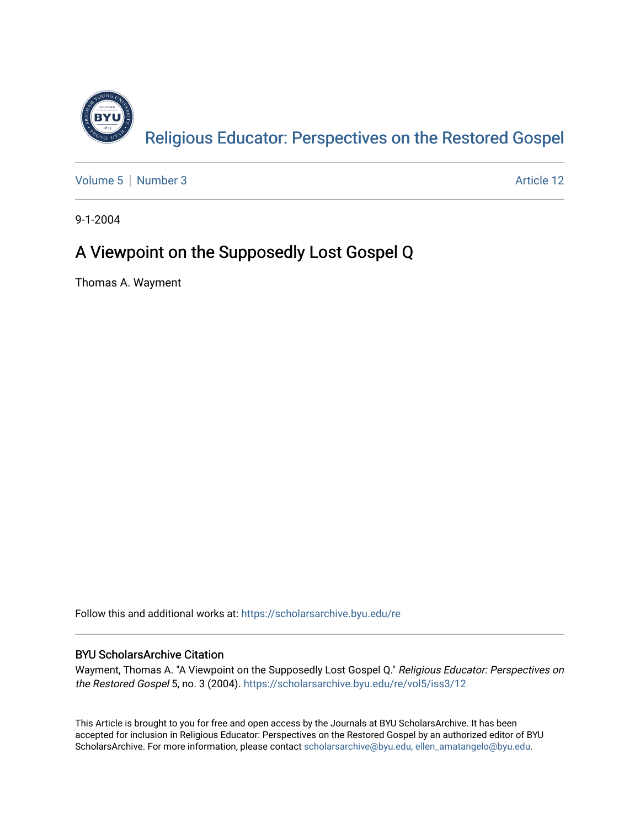

[Volume 5](https://scholarsarchive.byu.edu/re/vol5) | [Number 3](https://scholarsarchive.byu.edu/re/vol5/iss3) Article 12

9-1-2004

## A Viewpoint on the Supposedly Lost Gospel Q

Thomas A. Wayment

Follow this and additional works at: [https://scholarsarchive.byu.edu/re](https://scholarsarchive.byu.edu/re?utm_source=scholarsarchive.byu.edu%2Fre%2Fvol5%2Fiss3%2F12&utm_medium=PDF&utm_campaign=PDFCoverPages)

### BYU ScholarsArchive Citation

Wayment, Thomas A. "A Viewpoint on the Supposedly Lost Gospel Q." Religious Educator: Perspectives on the Restored Gospel 5, no. 3 (2004). [https://scholarsarchive.byu.edu/re/vol5/iss3/12](https://scholarsarchive.byu.edu/re/vol5/iss3/12?utm_source=scholarsarchive.byu.edu%2Fre%2Fvol5%2Fiss3%2F12&utm_medium=PDF&utm_campaign=PDFCoverPages)

This Article is brought to you for free and open access by the Journals at BYU ScholarsArchive. It has been accepted for inclusion in Religious Educator: Perspectives on the Restored Gospel by an authorized editor of BYU ScholarsArchive. For more information, please contact [scholarsarchive@byu.edu, ellen\\_amatangelo@byu.edu.](mailto:scholarsarchive@byu.edu,%20ellen_amatangelo@byu.edu)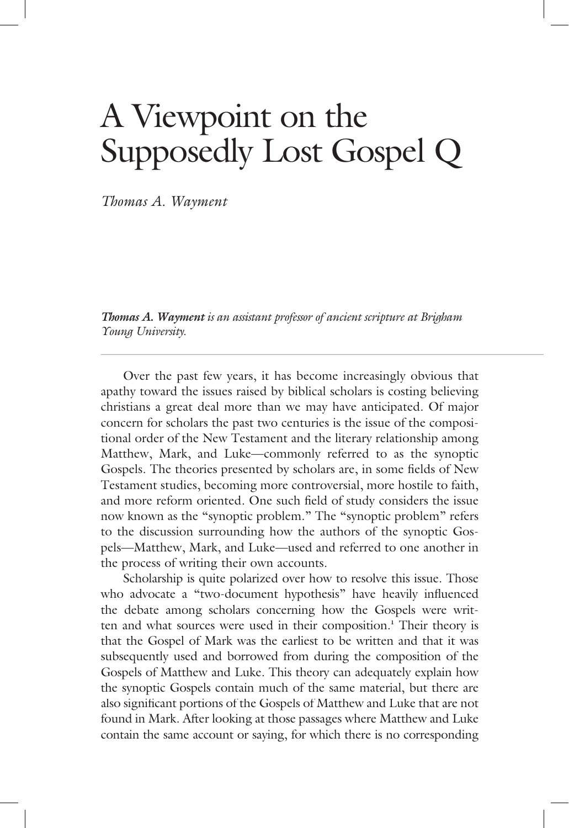# A Viewpoint on the Supposedly Lost Gospel Q

*Thomas A. Wayment* 

*Thomas A. Wayment is an assistant professor of ancient scripture at Brigham is an assistant professor of ancient scripture at Brigham Young University.*

 Over the past few years, it has become increasingly obvious that apathy toward the issues raised by biblical scholars is costing believing christians a great deal more than we may have anticipated. Of major concern for scholars the past two centuries is the issue of the compositional order of the New Testament and the literary relationship among Matthew, Mark, and Luke—commonly referred to as the synoptic Gospels. The theories presented by scholars are, in some fields of New Testament studies, becoming more controversial, more hostile to faith, and more reform oriented. One such field of study considers the issue now known as the "synoptic problem." The "synoptic problem" refers to the discussion surrounding how the authors of the synoptic Gospels—Matthew, Mark, and Luke—used and referred to one another in the process of writing their own accounts.

 Scholarship is quite polarized over how to resolve this issue. Those who advocate a "two-document hypothesis" have heavily influenced the debate among scholars concerning how the Gospels were written and what sources were used in their composition.**<sup>1</sup>** Their theory is that the Gospel of Mark was the earliest to be written and that it was subsequently used and borrowed from during the composition of the Gospels of Matthew and Luke. This theory can adequately explain how the synoptic Gospels contain much of the same material, but there are also significant portions of the Gospels of Matthew and Luke that are not found in Mark. After looking at those passages where Matthew and Luke contain the same account or saying, for which there is no corresponding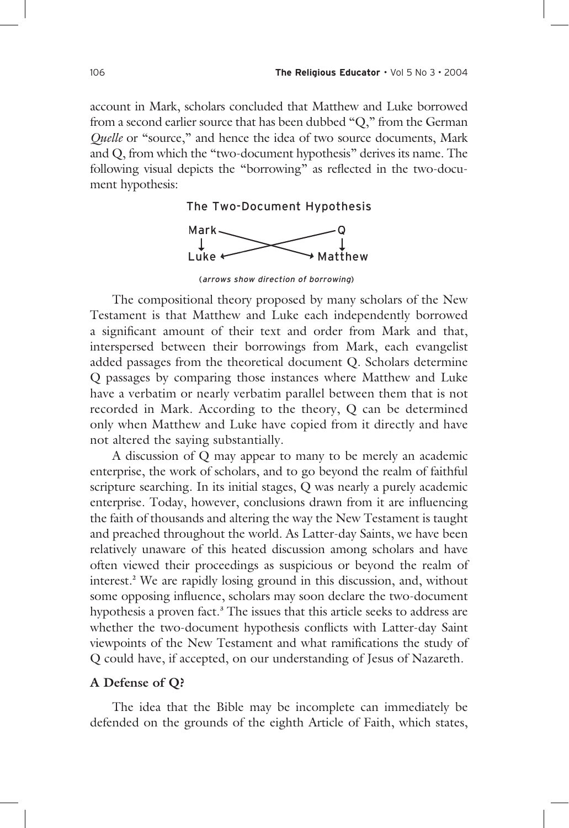account in Mark, scholars concluded that Matthew and Luke borrowed from a second earlier source that has been dubbed "Q," from the German *Quelle* or "source," and hence the idea of two source documents, Mark and Q, from which the "two-document hypothesis" derives its name. The following visual depicts the "borrowing" as reflected in the two-document hypothesis:

#### The Two-Document Hypothesis



(arrows show direction of borrowing)

 The compositional theory proposed by many scholars of the New Testament is that Matthew and Luke each independently borrowed a significant amount of their text and order from Mark and that, interspersed between their borrowings from Mark, each evangelist added passages from the theoretical document Q. Scholars determine Q passages by comparing those instances where Matthew and Luke have a verbatim or nearly verbatim parallel between them that is not recorded in Mark. According to the theory, Q can be determined only when Matthew and Luke have copied from it directly and have not altered the saying substantially.

 A discussion of Q may appear to many to be merely an academic enterprise, the work of scholars, and to go beyond the realm of faithful scripture searching. In its initial stages, Q was nearly a purely academic enterprise. Today, however, conclusions drawn from it are influencing the faith of thousands and altering the way the New Testament is taught and preached throughout the world. As Latter-day Saints, we have been relatively unaware of this heated discussion among scholars and have often viewed their proceedings as suspicious or beyond the realm of interest.**<sup>2</sup>** We are rapidly losing ground in this discussion, and, without some opposing influence, scholars may soon declare the two-document hypothesis a proven fact.**<sup>3</sup>** The issues that this article seeks to address are whether the two-document hypothesis conflicts with Latter-day Saint viewpoints of the New Testament and what ramifications the study of Q could have, if accepted, on our understanding of Jesus of Nazareth.

#### **A Defense of Q?**

 The idea that the Bible may be incomplete can immediately be defended on the grounds of the eighth Article of Faith, which states,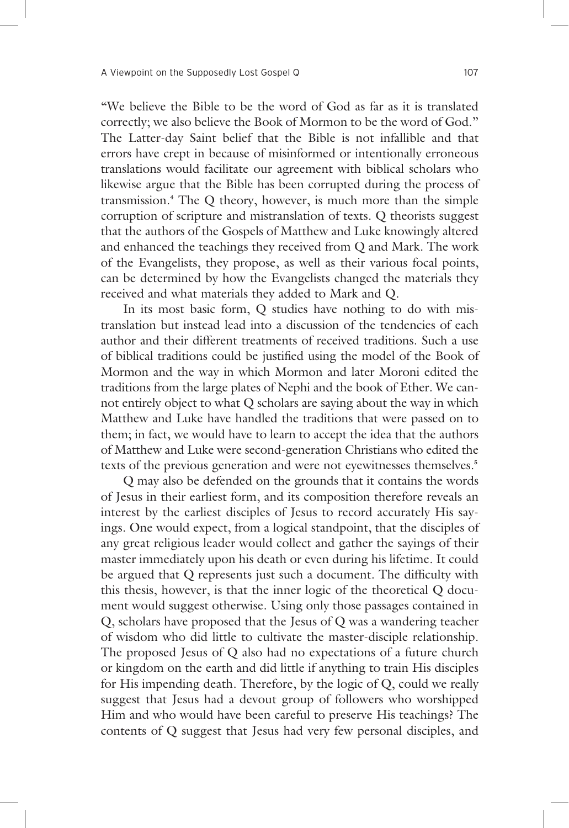"We believe the Bible to be the word of God as far as it is translated correctly; we also believe the Book of Mormon to be the word of God." The Latter-day Saint belief that the Bible is not infallible and that errors have crept in because of misinformed or intentionally erroneous translations would facilitate our agreement with biblical scholars who likewise argue that the Bible has been corrupted during the process of transmission.**<sup>4</sup>** The Q theory, however, is much more than the simple corruption of scripture and mistranslation of texts. Q theorists suggest that the authors of the Gospels of Matthew and Luke knowingly altered and enhanced the teachings they received from Q and Mark. The work of the Evangelists, they propose, as well as their various focal points, can be determined by how the Evangelists changed the materials they received and what materials they added to Mark and Q.

 In its most basic form, Q studies have nothing to do with mistranslation but instead lead into a discussion of the tendencies of each author and their different treatments of received traditions. Such a use of biblical traditions could be justified using the model of the Book of Mormon and the way in which Mormon and later Moroni edited the traditions from the large plates of Nephi and the book of Ether. We cannot entirely object to what Q scholars are saying about the way in which Matthew and Luke have handled the traditions that were passed on to them; in fact, we would have to learn to accept the idea that the authors of Matthew and Luke were second-generation Christians who edited the texts of the previous generation and were not eyewitnesses themselves.**<sup>5</sup>**

 Q may also be defended on the grounds that it contains the words of Jesus in their earliest form, and its composition therefore reveals an interest by the earliest disciples of Jesus to record accurately His sayings. One would expect, from a logical standpoint, that the disciples of any great religious leader would collect and gather the sayings of their master immediately upon his death or even during his lifetime. It could be argued that Q represents just such a document. The difficulty with this thesis, however, is that the inner logic of the theoretical Q document would suggest otherwise. Using only those passages contained in Q, scholars have proposed that the Jesus of Q was a wandering teacher of wisdom who did little to cultivate the master-disciple relationship. The proposed Jesus of Q also had no expectations of a future church or kingdom on the earth and did little if anything to train His disciples for His impending death. Therefore, by the logic of Q, could we really suggest that Jesus had a devout group of followers who worshipped Him and who would have been careful to preserve His teachings? The contents of Q suggest that Jesus had very few personal disciples, and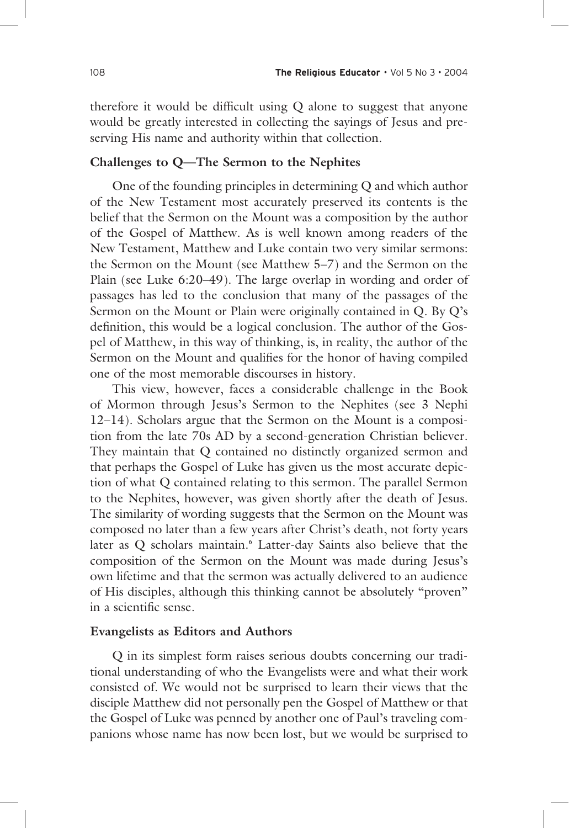therefore it would be difficult using  $Q$  alone to suggest that anyone would be greatly interested in collecting the sayings of Jesus and preserving His name and authority within that collection.

#### **Challenges to Q—The Sermon to the Nephites**

 One of the founding principles in determining Q and which author of the New Testament most accurately preserved its contents is the belief that the Sermon on the Mount was a composition by the author of the Gospel of Matthew. As is well known among readers of the New Testament, Matthew and Luke contain two very similar sermons: the Sermon on the Mount (see Matthew 5–7) and the Sermon on the Plain (see Luke 6:20–49). The large overlap in wording and order of passages has led to the conclusion that many of the passages of the Sermon on the Mount or Plain were originally contained in Q. By Q's definition, this would be a logical conclusion. The author of the Gospel of Matthew, in this way of thinking, is, in reality, the author of the Sermon on the Mount and qualifies for the honor of having compiled one of the most memorable discourses in history.

 This view, however, faces a considerable challenge in the Book of Mormon through Jesus's Sermon to the Nephites (see 3 Nephi 12–14). Scholars argue that the Sermon on the Mount is a composition from the late 70s AD by a second-generation Christian believer. They maintain that Q contained no distinctly organized sermon and that perhaps the Gospel of Luke has given us the most accurate depiction of what Q contained relating to this sermon. The parallel Sermon to the Nephites, however, was given shortly after the death of Jesus. The similarity of wording suggests that the Sermon on the Mount was composed no later than a few years after Christ's death, not forty years later as Q scholars maintain.**<sup>6</sup>** Latter-day Saints also believe that the composition of the Sermon on the Mount was made during Jesus's own lifetime and that the sermon was actually delivered to an audience of His disciples, although this thinking cannot be absolutely "proven" in a scientific sense.

#### **Evangelists as Editors and Authors**

 Q in its simplest form raises serious doubts concerning our traditional understanding of who the Evangelists were and what their work consisted of. We would not be surprised to learn their views that the disciple Matthew did not personally pen the Gospel of Matthew or that the Gospel of Luke was penned by another one of Paul's traveling companions whose name has now been lost, but we would be surprised to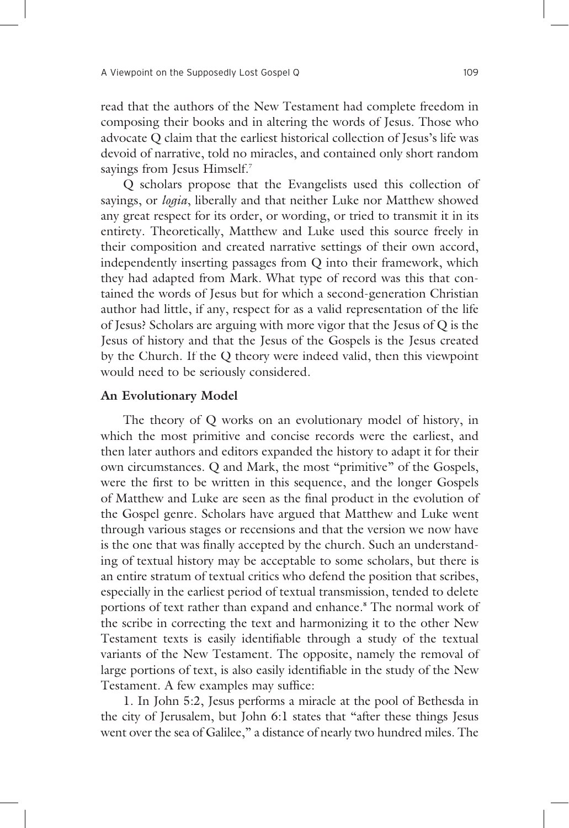read that the authors of the New Testament had complete freedom in composing their books and in altering the words of Jesus. Those who advocate Q claim that the earliest historical collection of Jesus's life was devoid of narrative, told no miracles, and contained only short random sayings from Jesus Himself.**<sup>7</sup>**

 Q scholars propose that the Evangelists used this collection of sayings, or *logia*, liberally and that neither Luke nor Matthew showed any great respect for its order, or wording, or tried to transmit it in its entirety. Theoretically, Matthew and Luke used this source freely in their composition and created narrative settings of their own accord, independently inserting passages from Q into their framework, which they had adapted from Mark. What type of record was this that contained the words of Jesus but for which a second-generation Christian author had little, if any, respect for as a valid representation of the life of Jesus? Scholars are arguing with more vigor that the Jesus of Q is the Jesus of history and that the Jesus of the Gospels is the Jesus created by the Church. If the Q theory were indeed valid, then this viewpoint would need to be seriously considered.

#### **An Evolutionary Model**

 The theory of Q works on an evolutionary model of history, in which the most primitive and concise records were the earliest, and then later authors and editors expanded the history to adapt it for their own circumstances. Q and Mark, the most "primitive" of the Gospels, were the first to be written in this sequence, and the longer Gospels of Matthew and Luke are seen as the final product in the evolution of the Gospel genre. Scholars have argued that Matthew and Luke went through various stages or recensions and that the version we now have is the one that was finally accepted by the church. Such an understanding of textual history may be acceptable to some scholars, but there is an entire stratum of textual critics who defend the position that scribes, especially in the earliest period of textual transmission, tended to delete portions of text rather than expand and enhance.**<sup>8</sup>** The normal work of the scribe in correcting the text and harmonizing it to the other New Testament texts is easily identifiable through a study of the textual variants of the New Testament. The opposite, namely the removal of large portions of text, is also easily identifiable in the study of the New Testament. A few examples may suffice:

 1. In John 5:2, Jesus performs a miracle at the pool of Bethesda in the city of Jerusalem, but John 6:1 states that "after these things Jesus went over the sea of Galilee," a distance of nearly two hundred miles. The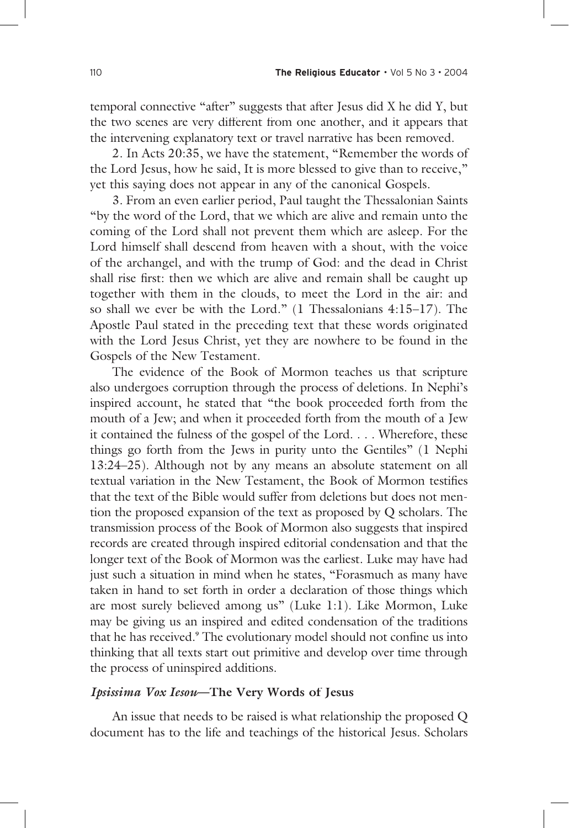temporal connective "after" suggests that after Jesus did X he did Y, but the two scenes are very different from one another, and it appears that the intervening explanatory text or travel narrative has been removed.

 2. In Acts 20:35, we have the statement, "Remember the words of the Lord Jesus, how he said, It is more blessed to give than to receive," yet this saying does not appear in any of the canonical Gospels.

 3. From an even earlier period, Paul taught the Thessalonian Saints "by the word of the Lord, that we which are alive and remain unto the coming of the Lord shall not prevent them which are asleep. For the Lord himself shall descend from heaven with a shout, with the voice of the archangel, and with the trump of God: and the dead in Christ shall rise first: then we which are alive and remain shall be caught up together with them in the clouds, to meet the Lord in the air: and so shall we ever be with the Lord." (1 Thessalonians 4:15–17). The Apostle Paul stated in the preceding text that these words originated with the Lord Jesus Christ, yet they are nowhere to be found in the Gospels of the New Testament.

 The evidence of the Book of Mormon teaches us that scripture also undergoes corruption through the process of deletions. In Nephi's inspired account, he stated that "the book proceeded forth from the mouth of a Jew; and when it proceeded forth from the mouth of a Jew it contained the fulness of the gospel of the Lord. . . . Wherefore, these things go forth from the Jews in purity unto the Gentiles" (1 Nephi 13:24–25). Although not by any means an absolute statement on all textual variation in the New Testament, the Book of Mormon testifies that the text of the Bible would suffer from deletions but does not mention the proposed expansion of the text as proposed by Q scholars. The transmission process of the Book of Mormon also suggests that inspired records are created through inspired editorial condensation and that the longer text of the Book of Mormon was the earliest. Luke may have had just such a situation in mind when he states, "Forasmuch as many have taken in hand to set forth in order a declaration of those things which are most surely believed among us" (Luke 1:1). Like Mormon, Luke may be giving us an inspired and edited condensation of the traditions that he has received.<sup>9</sup> The evolutionary model should not confine us into thinking that all texts start out primitive and develop over time through the process of uninspired additions.

#### *Ipsissima Vox Iesou* **—The Very Words of Jesus**

 An issue that needs to be raised is what relationship the proposed Q document has to the life and teachings of the historical Jesus. Scholars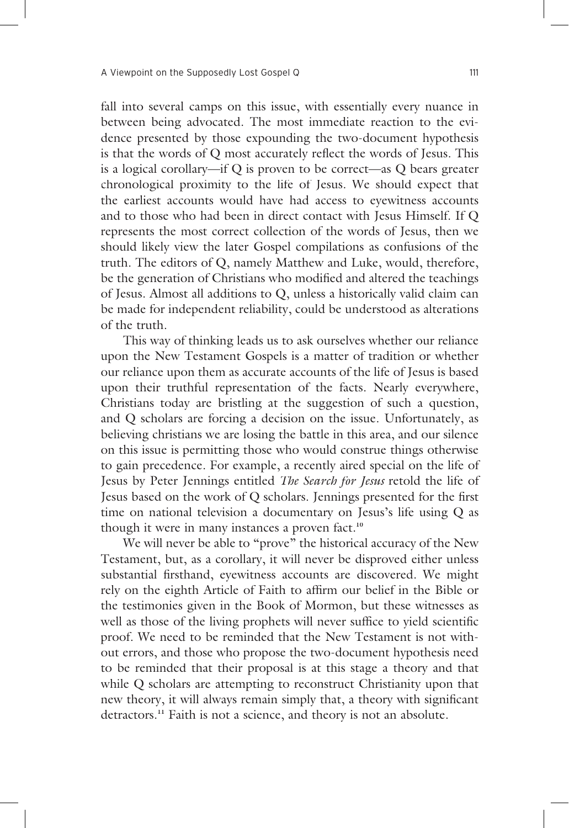fall into several camps on this issue, with essentially every nuance in between being advocated. The most immediate reaction to the evidence presented by those expounding the two-document hypothesis is that the words of Q most accurately reflect the words of Jesus. This is a logical corollary—if Q is proven to be correct—as Q bears greater chronological proximity to the life of Jesus. We should expect that the earliest accounts would have had access to eyewitness accounts and to those who had been in direct contact with Jesus Himself. If Q represents the most correct collection of the words of Jesus, then we should likely view the later Gospel compilations as confusions of the truth. The editors of Q, namely Matthew and Luke, would, therefore, be the generation of Christians who modified and altered the teachings of Jesus. Almost all additions to Q, unless a historically valid claim can be made for independent reliability, could be understood as alterations of the truth.

 This way of thinking leads us to ask ourselves whether our reliance upon the New Testament Gospels is a matter of tradition or whether our reliance upon them as accurate accounts of the life of Jesus is based upon their truthful representation of the facts. Nearly everywhere, Christians today are bristling at the suggestion of such a question, and Q scholars are forcing a decision on the issue. Unfortunately, as believing christians we are losing the battle in this area, and our silence on this issue is permitting those who would construe things otherwise to gain precedence. For example, a recently aired special on the life of Jesus by Peter Jennings entitled *The Search for Jesus* retold the life of Jesus based on the work of Q scholars. Jennings presented for the first time on national television a documentary on Jesus's life using Q as though it were in many instances a proven fact.**<sup>10</sup>**

 We will never be able to "prove" the historical accuracy of the New Testament, but, as a corollary, it will never be disproved either unless substantial firsthand, eyewitness accounts are discovered. We might rely on the eighth Article of Faith to affirm our belief in the Bible or the testimonies given in the Book of Mormon, but these witnesses as well as those of the living prophets will never suffice to yield scientific proof. We need to be reminded that the New Testament is not without errors, and those who propose the two-document hypothesis need to be reminded that their proposal is at this stage a theory and that while Q scholars are attempting to reconstruct Christianity upon that new theory, it will always remain simply that, a theory with significant detractors.**11** Faith is not a science, and theory is not an absolute.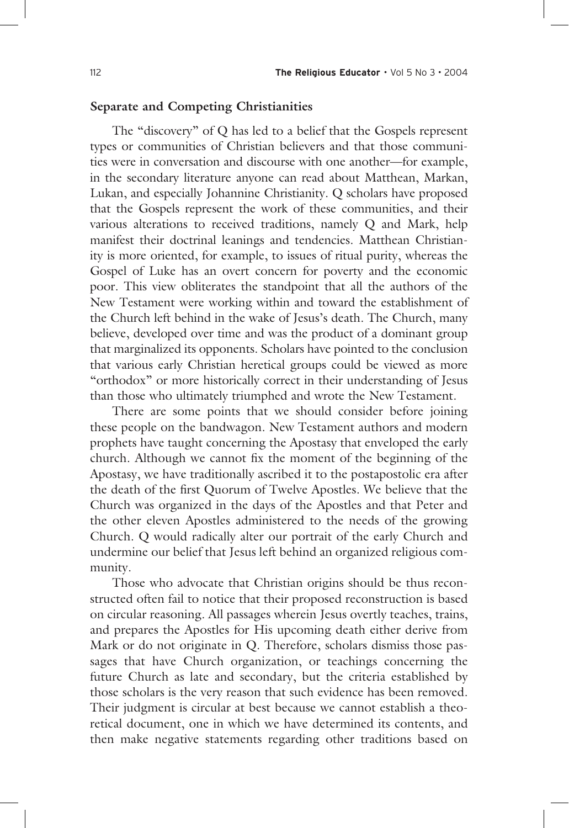#### **Separate and Competing Christianities**

 The "discovery" of Q has led to a belief that the Gospels represent types or communities of Christian believers and that those communities were in conversation and discourse with one another—for example, in the secondary literature anyone can read about Matthean, Markan, Lukan, and especially Johannine Christianity. Q scholars have proposed that the Gospels represent the work of these communities, and their various alterations to received traditions, namely Q and Mark, help manifest their doctrinal leanings and tendencies. Matthean Christianity is more oriented, for example, to issues of ritual purity, whereas the Gospel of Luke has an overt concern for poverty and the economic poor. This view obliterates the standpoint that all the authors of the New Testament were working within and toward the establishment of the Church left behind in the wake of Jesus's death. The Church, many believe, developed over time and was the product of a dominant group that marginalized its opponents. Scholars have pointed to the conclusion that various early Christian heretical groups could be viewed as more "orthodox" or more historically correct in their understanding of Jesus than those who ultimately triumphed and wrote the New Testament.

 There are some points that we should consider before joining these people on the bandwagon. New Testament authors and modern prophets have taught concerning the Apostasy that enveloped the early church. Although we cannot fix the moment of the beginning of the Apostasy, we have traditionally ascribed it to the postapostolic era after the death of the first Quorum of Twelve Apostles. We believe that the Church was organized in the days of the Apostles and that Peter and the other eleven Apostles administered to the needs of the growing Church. Q would radically alter our portrait of the early Church and undermine our belief that Jesus left behind an organized religious community.

 Those who advocate that Christian origins should be thus reconstructed often fail to notice that their proposed reconstruction is based on circular reasoning. All passages wherein Jesus overtly teaches, trains, and prepares the Apostles for His upcoming death either derive from Mark or do not originate in Q. Therefore, scholars dismiss those passages that have Church organization, or teachings concerning the future Church as late and secondary, but the criteria established by those scholars is the very reason that such evidence has been removed. Their judgment is circular at best because we cannot establish a theoretical document, one in which we have determined its contents, and then make negative statements regarding other traditions based on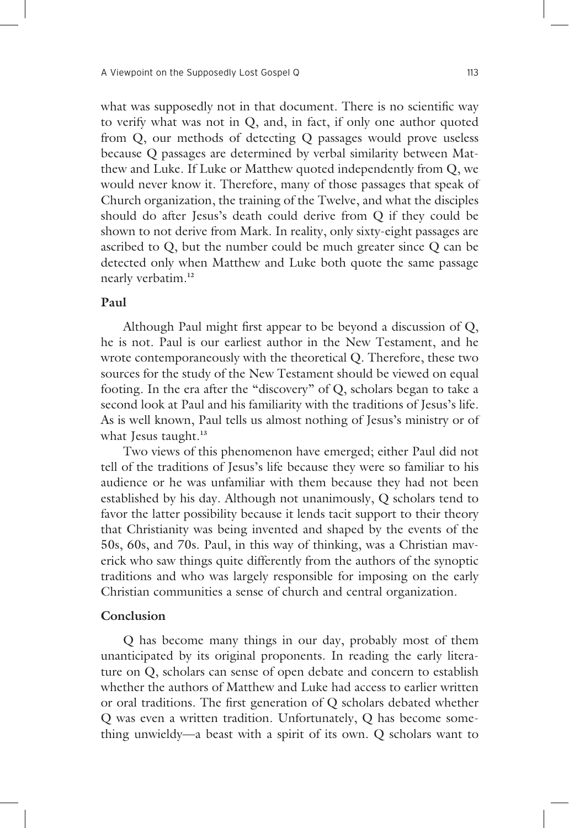what was supposedly not in that document. There is no scientific way to verify what was not in Q, and, in fact, if only one author quoted from Q, our methods of detecting Q passages would prove useless because Q passages are determined by verbal similarity between Matthew and Luke. If Luke or Matthew quoted independently from Q, we would never know it. Therefore, many of those passages that speak of Church organization, the training of the Twelve, and what the disciples should do after Jesus's death could derive from Q if they could be shown to not derive from Mark. In reality, only sixty-eight passages are ascribed to Q, but the number could be much greater since Q can be detected only when Matthew and Luke both quote the same passage nearly verbatim.**<sup>12</sup>**

#### **Paul**

Although Paul might first appear to be beyond a discussion of  $Q$ , he is not. Paul is our earliest author in the New Testament, and he wrote contemporaneously with the theoretical Q. Therefore, these two sources for the study of the New Testament should be viewed on equal footing. In the era after the "discovery" of Q, scholars began to take a second look at Paul and his familiarity with the traditions of Jesus's life. As is well known, Paul tells us almost nothing of Jesus's ministry or of what Jesus taught.**<sup>13</sup>**

 Two views of this phenomenon have emerged; either Paul did not tell of the traditions of Jesus's life because they were so familiar to his audience or he was unfamiliar with them because they had not been established by his day. Although not unanimously, Q scholars tend to favor the latter possibility because it lends tacit support to their theory that Christianity was being invented and shaped by the events of the 50s, 60s, and 70s. Paul, in this way of thinking, was a Christian maverick who saw things quite differently from the authors of the synoptic traditions and who was largely responsible for imposing on the early Christian communities a sense of church and central organization.

#### **Conclusion**

 Q has become many things in our day, probably most of them unanticipated by its original proponents. In reading the early literature on Q, scholars can sense of open debate and concern to establish whether the authors of Matthew and Luke had access to earlier written or oral traditions. The first generation of  $Q$  scholars debated whether Q was even a written tradition. Unfortunately, Q has become something unwieldy—a beast with a spirit of its own. Q scholars want to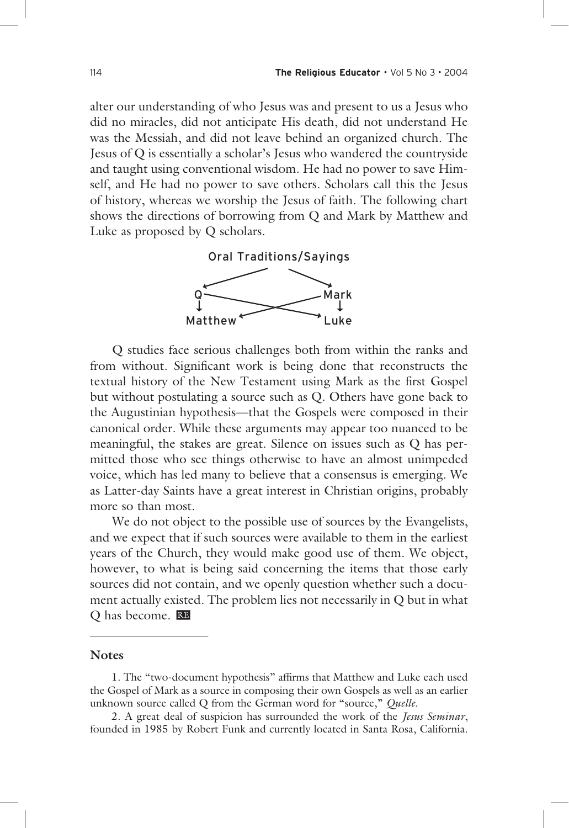alter our understanding of who Jesus was and present to us a Jesus who did no miracles, did not anticipate His death, did not understand He was the Messiah, and did not leave behind an organized church. The Jesus of Q is essentially a scholar's Jesus who wandered the countryside and taught using conventional wisdom. He had no power to save Himself, and He had no power to save others. Scholars call this the Jesus of history, whereas we worship the Jesus of faith. The following chart shows the directions of borrowing from Q and Mark by Matthew and Luke as proposed by Q scholars.



 Q studies face serious challenges both from within the ranks and from without. Significant work is being done that reconstructs the textual history of the New Testament using Mark as the first Gospel but without postulating a source such as Q. Others have gone back to the Augustinian hypothesis—that the Gospels were composed in their canonical order. While these arguments may appear too nuanced to be meaningful, the stakes are great. Silence on issues such as Q has permitted those who see things otherwise to have an almost unimpeded voice, which has led many to believe that a consensus is emerging. We as Latter-day Saints have a great interest in Christian origins, probably more so than most.

 We do not object to the possible use of sources by the Evangelists, and we expect that if such sources were available to them in the earliest years of the Church, they would make good use of them. We object, however, to what is being said concerning the items that those early sources did not contain, and we openly question whether such a document actually existed. The problem lies not necessarily in Q but in what Q has become. RE

#### **Notes**

<sup>1.</sup> The "two-document hypothesis" affirms that Matthew and Luke each used the Gospel of Mark as a source in composing their own Gospels as well as an earlier unknown source called Q from the German word for "source," *Quelle*.

<sup>2.</sup> A great deal of suspicion has surrounded the work of the *Jesus Seminar*, founded in 1985 by Robert Funk and currently located in Santa Rosa, California.